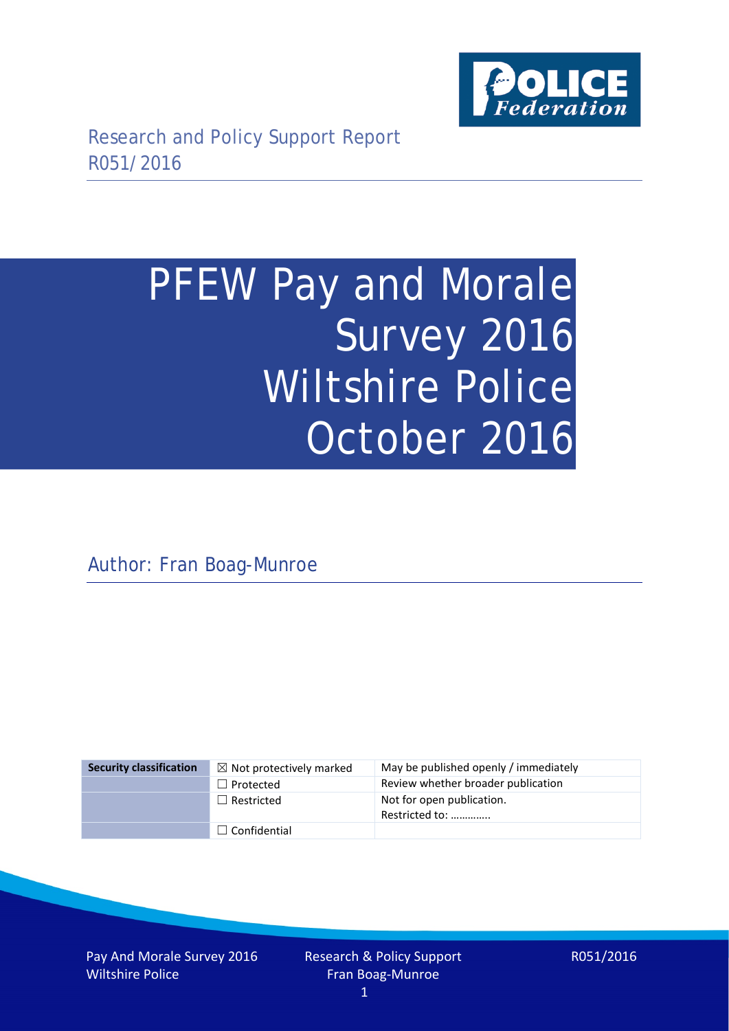

# PFEW Pay and Morale Survey 2016 Wiltshire Police October 2016

Author: Fran Boag-Munroe

| <b>Security classification</b> | $\boxtimes$ Not protectively marked | May be published openly / immediately       |
|--------------------------------|-------------------------------------|---------------------------------------------|
|                                | $\Box$ Protected                    | Review whether broader publication          |
|                                | $\Box$ Restricted                   | Not for open publication.<br>Restricted to: |
|                                | $\Box$ Confidential                 |                                             |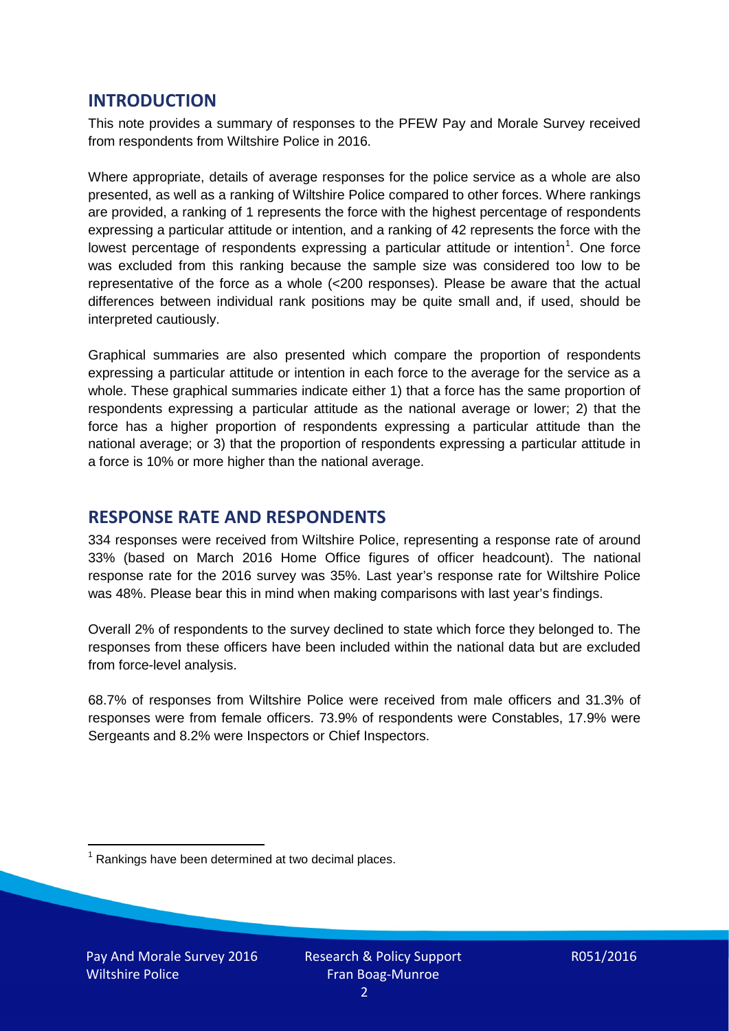# **INTRODUCTION**

This note provides a summary of responses to the PFEW Pay and Morale Survey received from respondents from Wiltshire Police in 2016.

Where appropriate, details of average responses for the police service as a whole are also presented, as well as a ranking of Wiltshire Police compared to other forces. Where rankings are provided, a ranking of 1 represents the force with the highest percentage of respondents expressing a particular attitude or intention, and a ranking of 42 represents the force with the lowest percentage of respondents expressing a particular attitude or intention<sup>[1](#page-1-0)</sup>. One force was excluded from this ranking because the sample size was considered too low to be representative of the force as a whole (<200 responses). Please be aware that the actual differences between individual rank positions may be quite small and, if used, should be interpreted cautiously.

Graphical summaries are also presented which compare the proportion of respondents expressing a particular attitude or intention in each force to the average for the service as a whole. These graphical summaries indicate either 1) that a force has the same proportion of respondents expressing a particular attitude as the national average or lower; 2) that the force has a higher proportion of respondents expressing a particular attitude than the national average; or 3) that the proportion of respondents expressing a particular attitude in a force is 10% or more higher than the national average.

# **RESPONSE RATE AND RESPONDENTS**

334 responses were received from Wiltshire Police, representing a response rate of around 33% (based on March 2016 Home Office figures of officer headcount). The national response rate for the 2016 survey was 35%. Last year's response rate for Wiltshire Police was 48%. Please bear this in mind when making comparisons with last year's findings.

Overall 2% of respondents to the survey declined to state which force they belonged to. The responses from these officers have been included within the national data but are excluded from force-level analysis.

68.7% of responses from Wiltshire Police were received from male officers and 31.3% of responses were from female officers. 73.9% of respondents were Constables, 17.9% were Sergeants and 8.2% were Inspectors or Chief Inspectors.

<span id="page-1-0"></span> $1$  Rankings have been determined at two decimal places.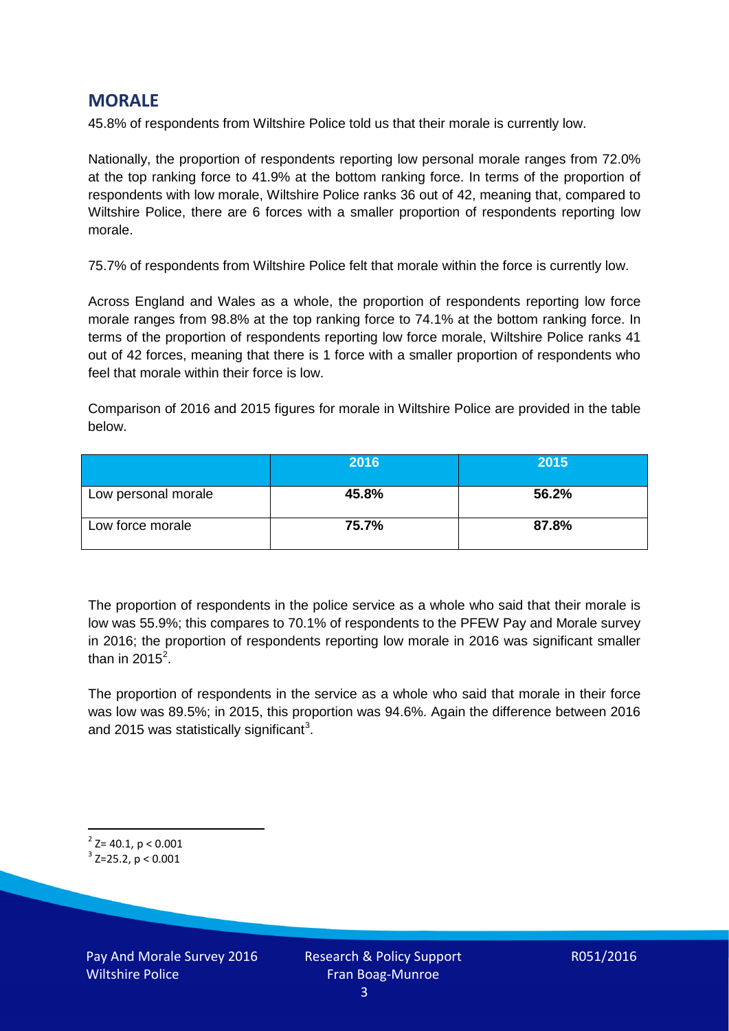# **MORALE**

45.8% of respondents from Wiltshire Police told us that their morale is currently low.

Nationally, the proportion of respondents reporting low personal morale ranges from 72.0% at the top ranking force to 41.9% at the bottom ranking force. In terms of the proportion of respondents with low morale, Wiltshire Police ranks 36 out of 42, meaning that, compared to Wiltshire Police, there are 6 forces with a smaller proportion of respondents reporting low morale.

75.7% of respondents from Wiltshire Police felt that morale within the force is currently low.

Across England and Wales as a whole, the proportion of respondents reporting low force morale ranges from 98.8% at the top ranking force to 74.1% at the bottom ranking force. In terms of the proportion of respondents reporting low force morale, Wiltshire Police ranks 41 out of 42 forces, meaning that there is 1 force with a smaller proportion of respondents who feel that morale within their force is low.

Comparison of 2016 and 2015 figures for morale in Wiltshire Police are provided in the table below.

|                     | 2016  | 2015  |
|---------------------|-------|-------|
| Low personal morale | 45.8% | 56.2% |
| Low force morale    | 75.7% | 87.8% |

The proportion of respondents in the police service as a whole who said that their morale is low was 55.9%; this compares to 70.1% of respondents to the PFEW Pay and Morale survey in 2016; the proportion of respondents reporting low morale in 2016 was significant smaller than in [2](#page-2-0)015 $^2$ .

The proportion of respondents in the service as a whole who said that morale in their force was low was 89.5%; in 2015, this proportion was 94.6%. Again the difference between 2016 and 2015 was statistically significant<sup>[3](#page-2-1)</sup>.

<span id="page-2-0"></span> $2$ <sup>2</sup> Z= 40.1, p < 0.001

<span id="page-2-1"></span> $3$  Z=25.2, p < 0.001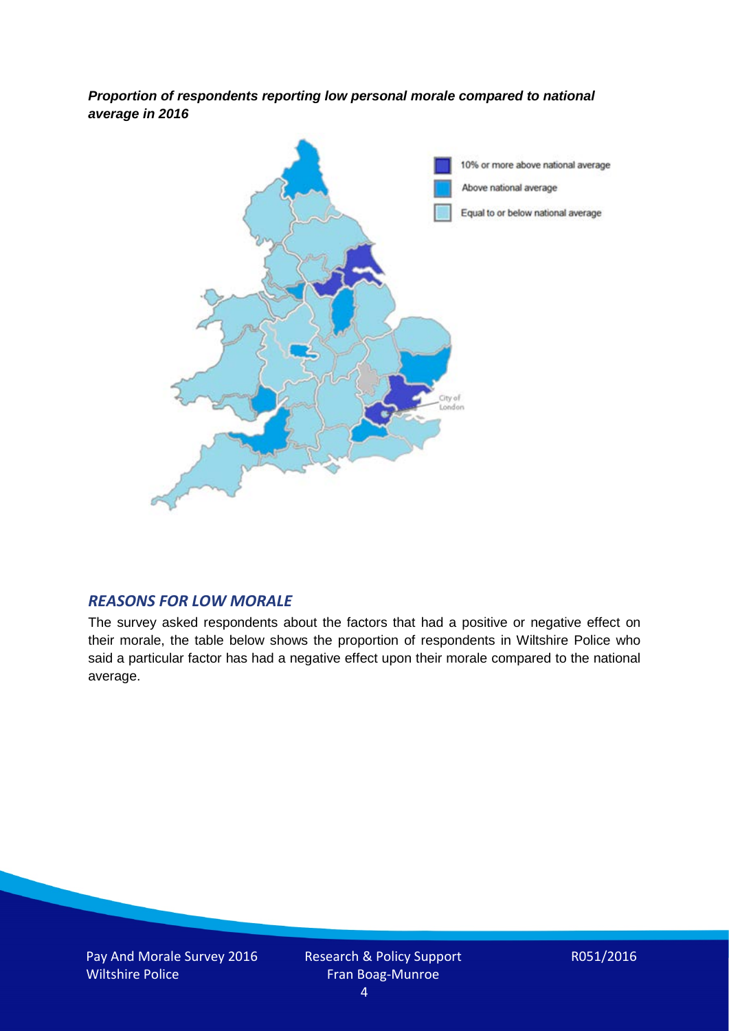*Proportion of respondents reporting low personal morale compared to national average in 2016*



## *REASONS FOR LOW MORALE*

The survey asked respondents about the factors that had a positive or negative effect on their morale, the table below shows the proportion of respondents in Wiltshire Police who said a particular factor has had a negative effect upon their morale compared to the national average.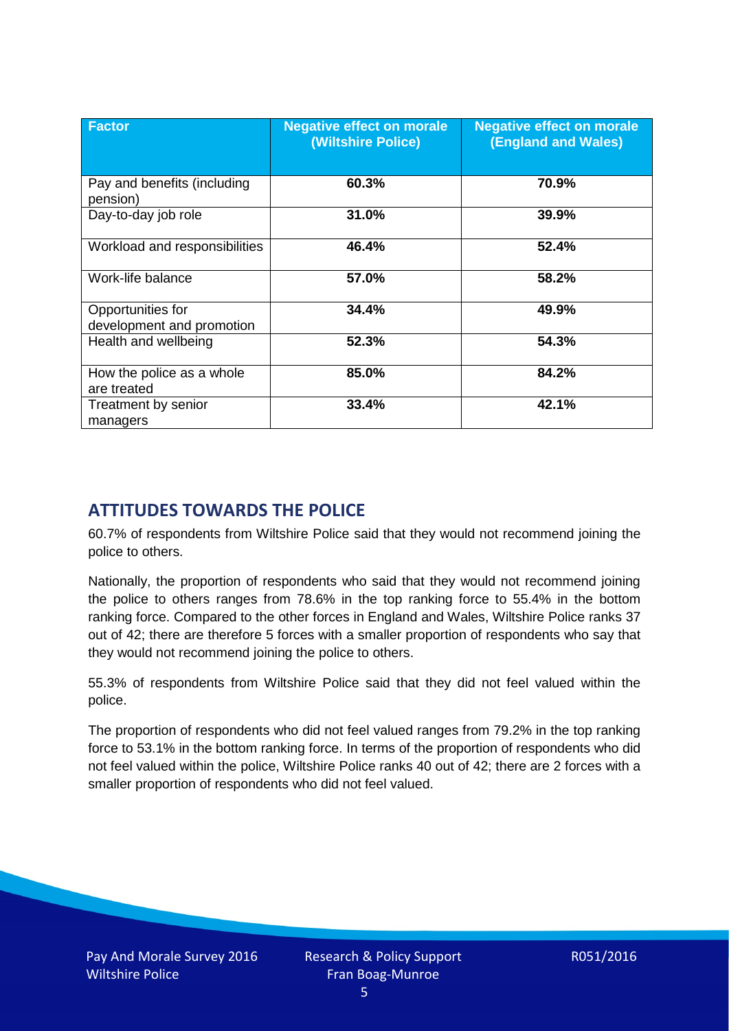| <b>Factor</b>                                  | <b>Negative effect on morale</b><br>(Wiltshire Police) | <b>Negative effect on morale</b><br><b>(England and Wales)</b> |
|------------------------------------------------|--------------------------------------------------------|----------------------------------------------------------------|
| Pay and benefits (including<br>pension)        | 60.3%                                                  | 70.9%                                                          |
| Day-to-day job role                            | 31.0%                                                  | 39.9%                                                          |
| Workload and responsibilities                  | 46.4%                                                  | 52.4%                                                          |
| Work-life balance                              | 57.0%                                                  | 58.2%                                                          |
| Opportunities for<br>development and promotion | 34.4%                                                  | 49.9%                                                          |
| Health and wellbeing                           | 52.3%                                                  | 54.3%                                                          |
| How the police as a whole<br>are treated       | 85.0%                                                  | 84.2%                                                          |
| Treatment by senior<br>managers                | 33.4%                                                  | 42.1%                                                          |

# **ATTITUDES TOWARDS THE POLICE**

60.7% of respondents from Wiltshire Police said that they would not recommend joining the police to others.

Nationally, the proportion of respondents who said that they would not recommend joining the police to others ranges from 78.6% in the top ranking force to 55.4% in the bottom ranking force. Compared to the other forces in England and Wales, Wiltshire Police ranks 37 out of 42; there are therefore 5 forces with a smaller proportion of respondents who say that they would not recommend joining the police to others.

55.3% of respondents from Wiltshire Police said that they did not feel valued within the police.

The proportion of respondents who did not feel valued ranges from 79.2% in the top ranking force to 53.1% in the bottom ranking force. In terms of the proportion of respondents who did not feel valued within the police, Wiltshire Police ranks 40 out of 42; there are 2 forces with a smaller proportion of respondents who did not feel valued.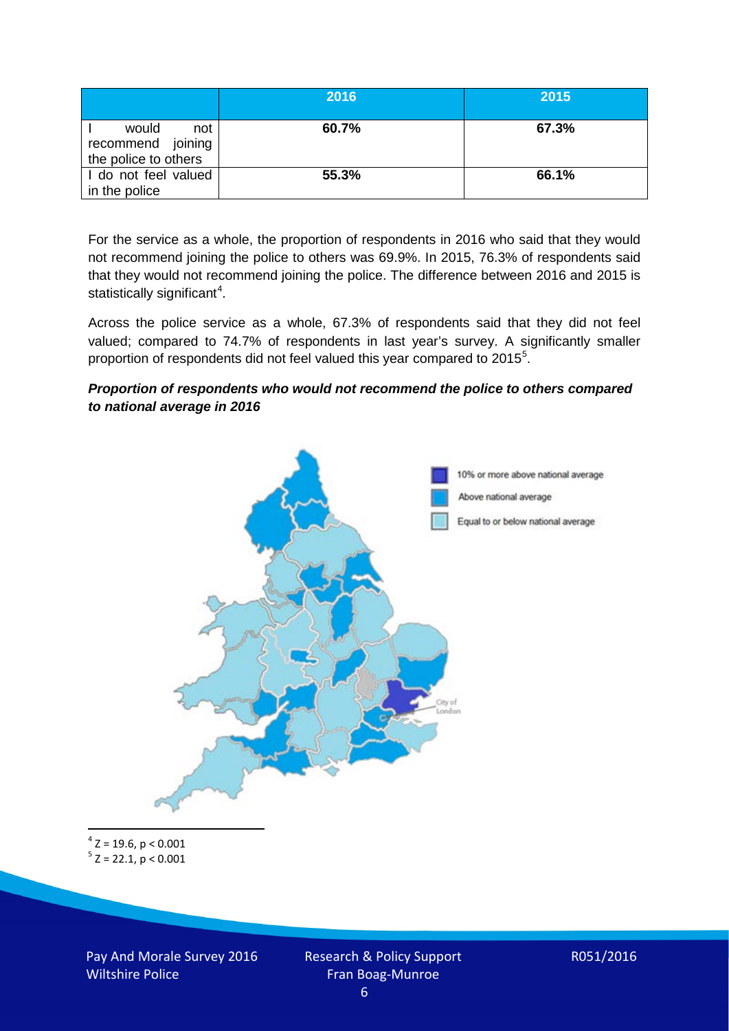|                                                           | 2016  | 2015  |
|-----------------------------------------------------------|-------|-------|
| would<br>not<br>recommend joining<br>the police to others | 60.7% | 67.3% |
| I do not feel valued<br>in the police                     | 55.3% | 66.1% |

For the service as a whole, the proportion of respondents in 2016 who said that they would not recommend joining the police to others was 69.9%. In 2015, 76.3% of respondents said that they would not recommend joining the police. The difference between 2016 and 2015 is statistically significant<sup>[4](#page-5-0)</sup>.

Across the police service as a whole, 67.3% of respondents said that they did not feel valued; compared to 74.7% of respondents in last year's survey. A significantly smaller proportion of respondents did not feel valued this year compared to 201[5](#page-5-1)<sup>5</sup>.

#### *Proportion of respondents who would not recommend the police to others compared to national average in 2016*



<span id="page-5-1"></span><span id="page-5-0"></span> $4$  Z = 19.6, p < 0.001  $5$  Z = 22.1, p < 0.001

Pay And Morale Survey 2016 Wiltshire Police

Research & Policy Support Fran Boag-Munroe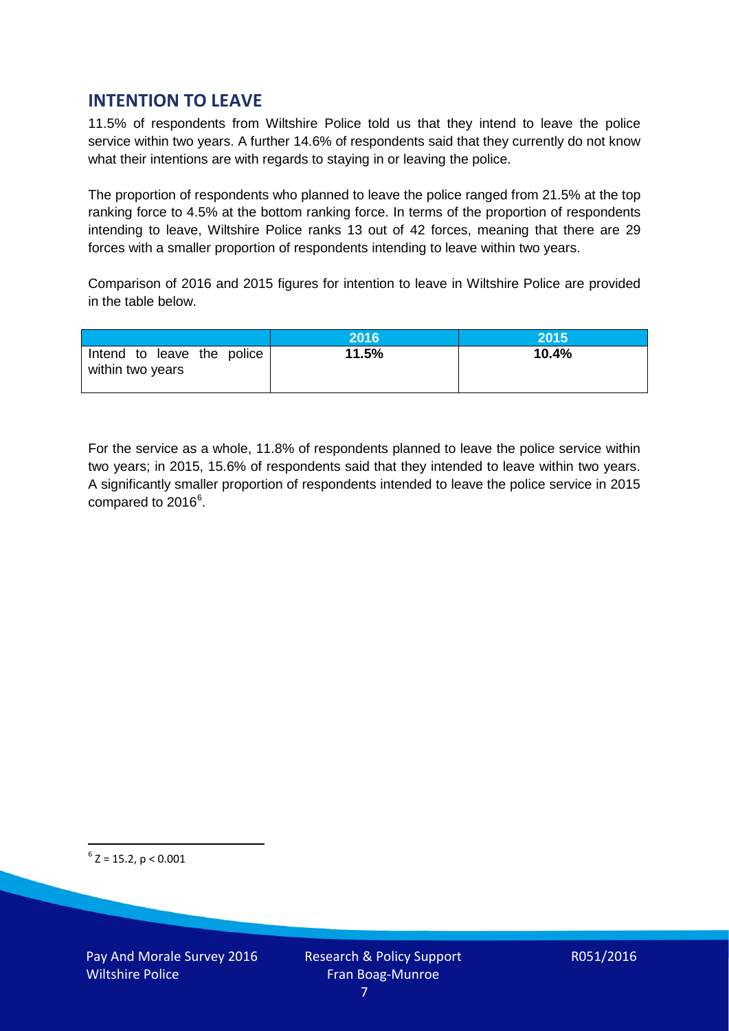# **INTENTION TO LEAVE**

11.5% of respondents from Wiltshire Police told us that they intend to leave the police service within two years. A further 14.6% of respondents said that they currently do not know what their intentions are with regards to staying in or leaving the police.

The proportion of respondents who planned to leave the police ranged from 21.5% at the top ranking force to 4.5% at the bottom ranking force. In terms of the proportion of respondents intending to leave, Wiltshire Police ranks 13 out of 42 forces, meaning that there are 29 forces with a smaller proportion of respondents intending to leave within two years.

Comparison of 2016 and 2015 figures for intention to leave in Wiltshire Police are provided in the table below.

|                                                | 2016  | 2015  |
|------------------------------------------------|-------|-------|
| Intend to leave the police<br>within two years | 11.5% | 10.4% |

For the service as a whole, 11.8% of respondents planned to leave the police service within two years; in 2015, 15.6% of respondents said that they intended to leave within two years. A significantly smaller proportion of respondents intended to leave the police service in 2015 compared to 201[6](#page-6-0)<sup>6</sup>.

<span id="page-6-0"></span> $6$  Z = 15.2, p < 0.001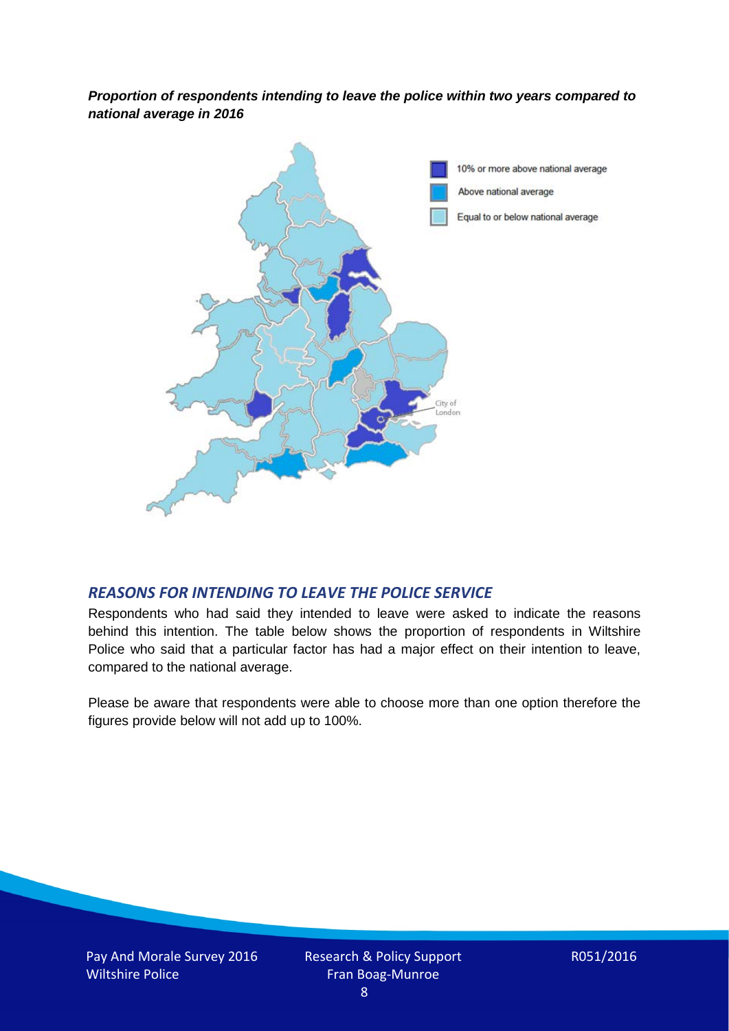*Proportion of respondents intending to leave the police within two years compared to national average in 2016*



## *REASONS FOR INTENDING TO LEAVE THE POLICE SERVICE*

Respondents who had said they intended to leave were asked to indicate the reasons behind this intention. The table below shows the proportion of respondents in Wiltshire Police who said that a particular factor has had a major effect on their intention to leave, compared to the national average.

Please be aware that respondents were able to choose more than one option therefore the figures provide below will not add up to 100%.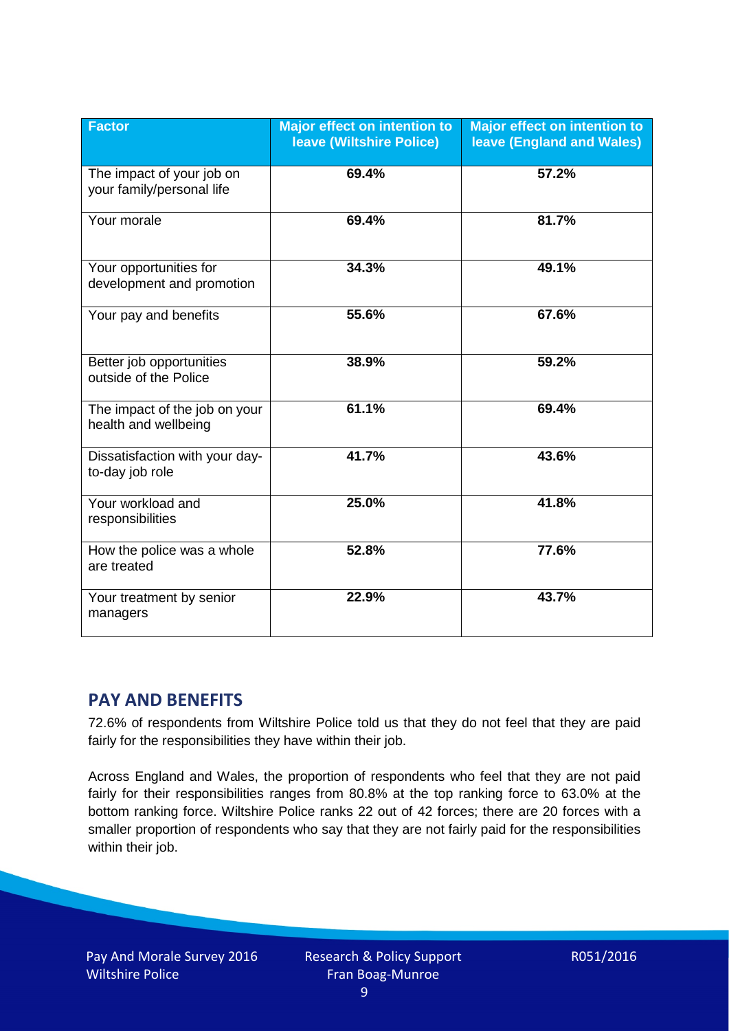| <b>Factor</b>                                          | <b>Major effect on intention to</b><br><b>leave (Wiltshire Police)</b> | <b>Major effect on intention to</b><br><b>leave (England and Wales)</b> |
|--------------------------------------------------------|------------------------------------------------------------------------|-------------------------------------------------------------------------|
| The impact of your job on<br>your family/personal life | 69.4%                                                                  | 57.2%                                                                   |
| Your morale                                            | 69.4%                                                                  | 81.7%                                                                   |
| Your opportunities for<br>development and promotion    | 34.3%                                                                  | 49.1%                                                                   |
| Your pay and benefits                                  | 55.6%                                                                  | 67.6%                                                                   |
| Better job opportunities<br>outside of the Police      | 38.9%                                                                  | 59.2%                                                                   |
| The impact of the job on your<br>health and wellbeing  | 61.1%                                                                  | 69.4%                                                                   |
| Dissatisfaction with your day-<br>to-day job role      | 41.7%                                                                  | 43.6%                                                                   |
| Your workload and<br>responsibilities                  | 25.0%                                                                  | 41.8%                                                                   |
| How the police was a whole<br>are treated              | 52.8%                                                                  | 77.6%                                                                   |
| Your treatment by senior<br>managers                   | 22.9%                                                                  | 43.7%                                                                   |

# **PAY AND BENEFITS**

72.6% of respondents from Wiltshire Police told us that they do not feel that they are paid fairly for the responsibilities they have within their job.

Across England and Wales, the proportion of respondents who feel that they are not paid fairly for their responsibilities ranges from 80.8% at the top ranking force to 63.0% at the bottom ranking force. Wiltshire Police ranks 22 out of 42 forces; there are 20 forces with a smaller proportion of respondents who say that they are not fairly paid for the responsibilities within their job.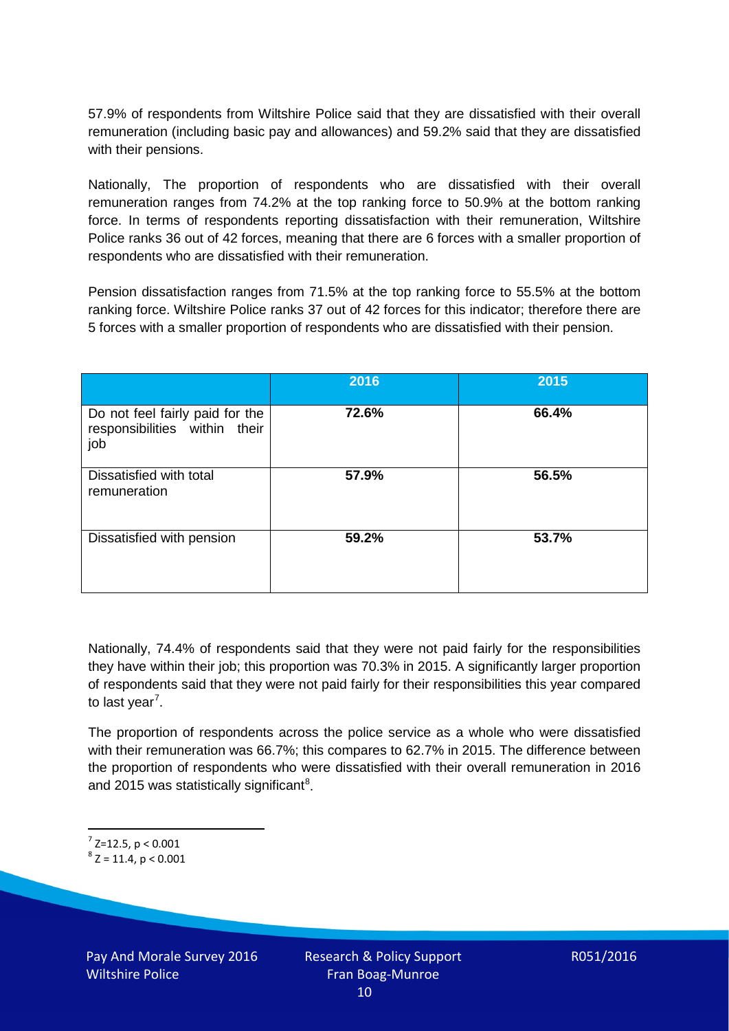57.9% of respondents from Wiltshire Police said that they are dissatisfied with their overall remuneration (including basic pay and allowances) and 59.2% said that they are dissatisfied with their pensions.

Nationally, The proportion of respondents who are dissatisfied with their overall remuneration ranges from 74.2% at the top ranking force to 50.9% at the bottom ranking force. In terms of respondents reporting dissatisfaction with their remuneration, Wiltshire Police ranks 36 out of 42 forces, meaning that there are 6 forces with a smaller proportion of respondents who are dissatisfied with their remuneration.

Pension dissatisfaction ranges from 71.5% at the top ranking force to 55.5% at the bottom ranking force. Wiltshire Police ranks 37 out of 42 forces for this indicator; therefore there are 5 forces with a smaller proportion of respondents who are dissatisfied with their pension.

|                                                                         | 2016  | 2015  |
|-------------------------------------------------------------------------|-------|-------|
| Do not feel fairly paid for the<br>responsibilities within their<br>job | 72.6% | 66.4% |
| Dissatisfied with total<br>remuneration                                 | 57.9% | 56.5% |
| Dissatisfied with pension                                               | 59.2% | 53.7% |

Nationally, 74.4% of respondents said that they were not paid fairly for the responsibilities they have within their job; this proportion was 70.3% in 2015. A significantly larger proportion of respondents said that they were not paid fairly for their responsibilities this year compared to last year<sup>[7](#page-9-0)</sup>.

The proportion of respondents across the police service as a whole who were dissatisfied with their remuneration was 66.7%; this compares to 62.7% in 2015. The difference between the proportion of respondents who were dissatisfied with their overall remuneration in 2016 and 2015 was statistically significant<sup>[8](#page-9-1)</sup>.

<span id="page-9-0"></span> $7$  Z=12.5, p < 0.001

<span id="page-9-1"></span> $8$  Z = 11.4, p < 0.001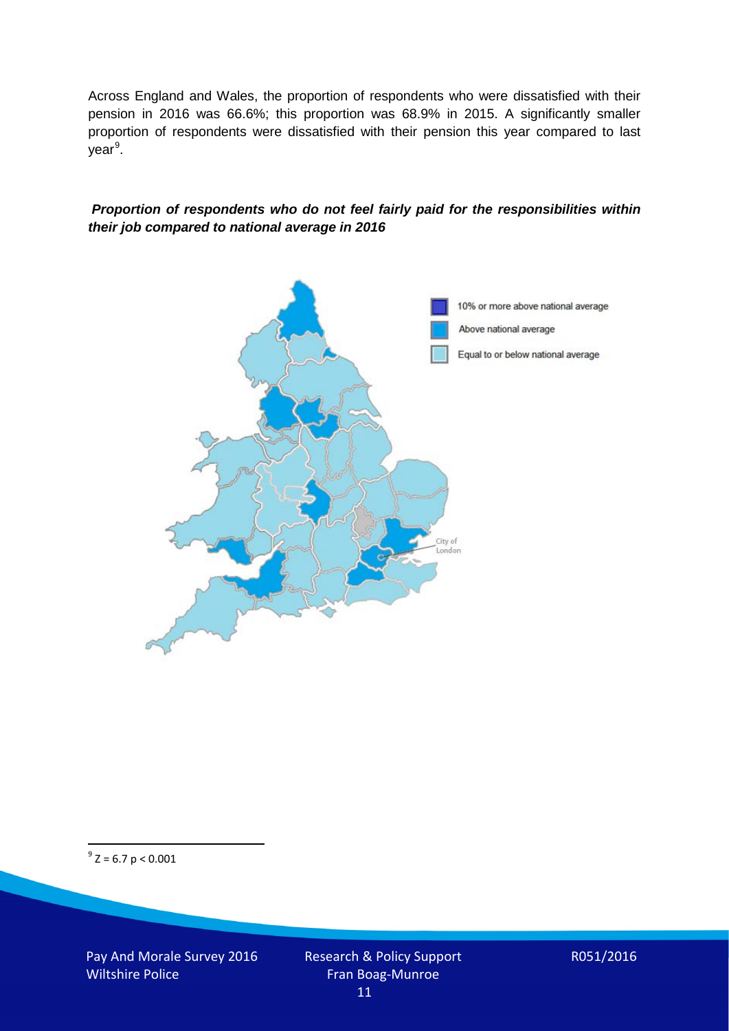Across England and Wales, the proportion of respondents who were dissatisfied with their pension in 2016 was 66.6%; this proportion was 68.9% in 2015. A significantly smaller proportion of respondents were dissatisfied with their pension this year compared to last year<sup>[9](#page-10-0)</sup>.

#### *Proportion of respondents who do not feel fairly paid for the responsibilities within their job compared to national average in 2016*



<span id="page-10-0"></span> $9^9$  Z = 6.7 p < 0.001